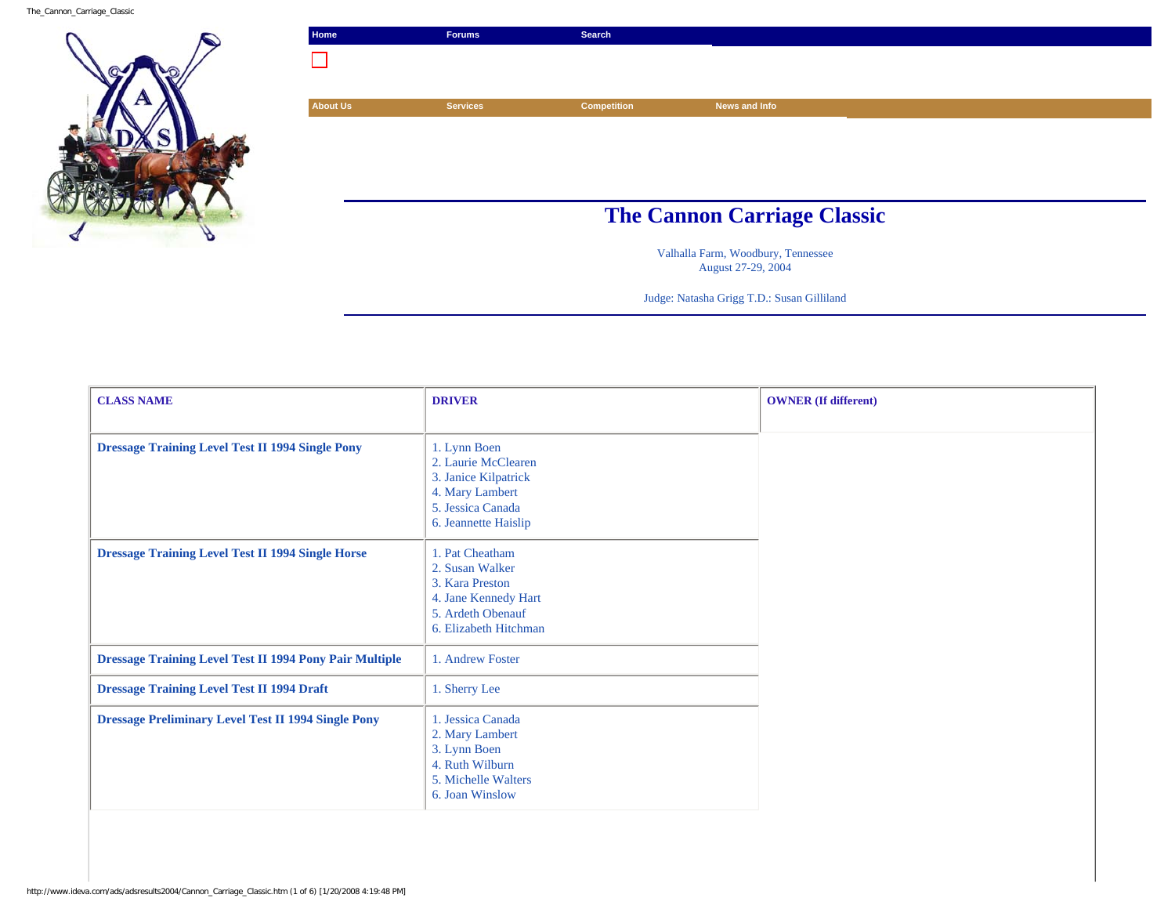The\_Cannon\_Carriage\_Classic



| <b>The Cannon Carriage Classic</b> |
|------------------------------------|
|                                    |

Valhalla Farm, Woodbury, Tennessee August 27-29, 2004

Judge: Natasha Grigg T.D.: Susan Gilliland

| <b>CLASS NAME</b>                                              | <b>DRIVER</b>                                                                                                               | <b>OWNER</b> (If different) |
|----------------------------------------------------------------|-----------------------------------------------------------------------------------------------------------------------------|-----------------------------|
|                                                                |                                                                                                                             |                             |
| <b>Dressage Training Level Test II 1994 Single Pony</b>        | 1. Lynn Boen<br>2. Laurie McClearen<br>3. Janice Kilpatrick<br>4. Mary Lambert<br>5. Jessica Canada<br>6. Jeannette Haislip |                             |
| <b>Dressage Training Level Test II 1994 Single Horse</b>       | 1. Pat Cheatham<br>2. Susan Walker<br>3. Kara Preston<br>4. Jane Kennedy Hart<br>5. Ardeth Obenauf<br>6. Elizabeth Hitchman |                             |
| <b>Dressage Training Level Test II 1994 Pony Pair Multiple</b> | 1. Andrew Foster                                                                                                            |                             |
| <b>Dressage Training Level Test II 1994 Draft</b>              | 1. Sherry Lee                                                                                                               |                             |
| <b>Dressage Preliminary Level Test II 1994 Single Pony</b>     | 1. Jessica Canada<br>2. Mary Lambert<br>3. Lynn Boen<br>4. Ruth Wilburn<br>5. Michelle Walters<br>6. Joan Winslow           |                             |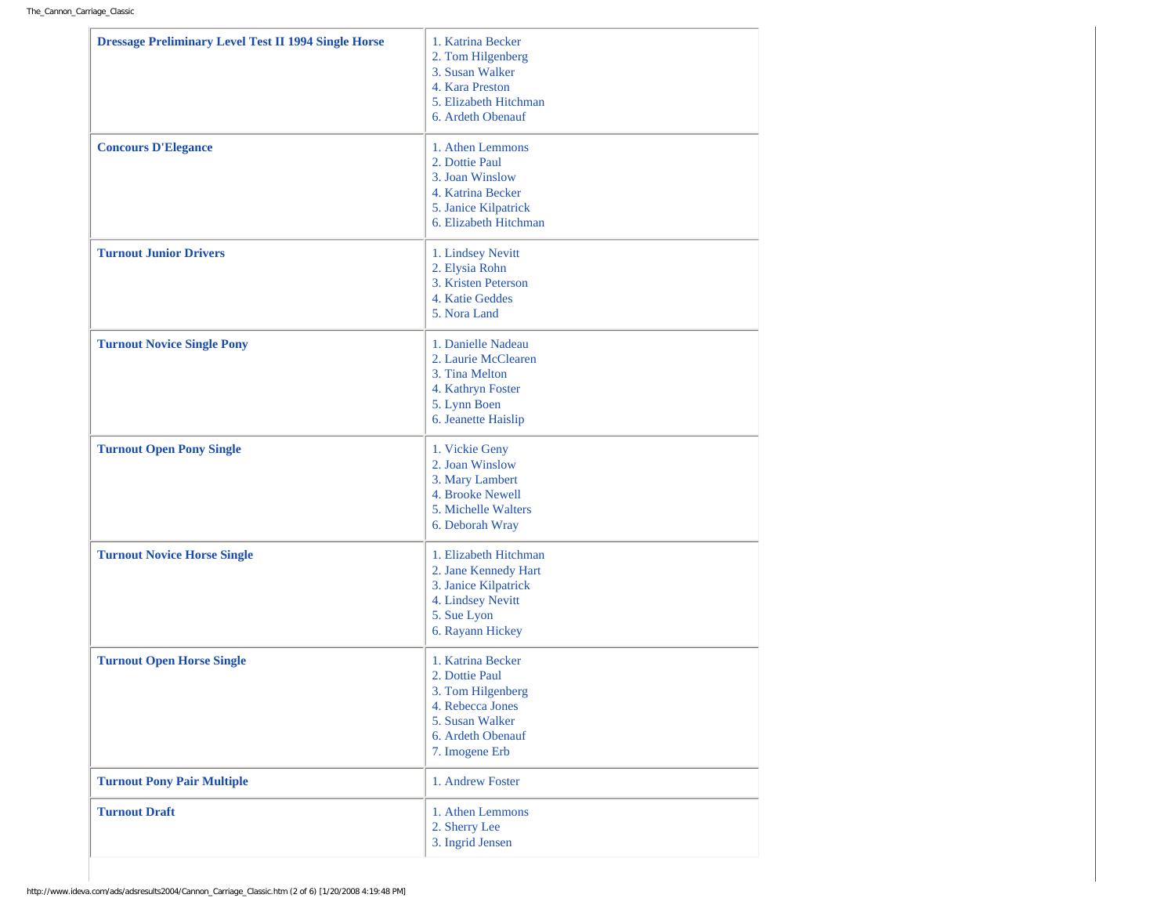| <b>Dressage Preliminary Level Test II 1994 Single Horse</b><br><b>Concours D'Elegance</b> | 1. Katrina Becker<br>2. Tom Hilgenberg<br>3. Susan Walker<br>4. Kara Preston<br>5. Elizabeth Hitchman<br>6. Ardeth Obenauf<br>1. Athen Lemmons<br>2. Dottie Paul<br>3. Joan Winslow<br>4. Katrina Becker |
|-------------------------------------------------------------------------------------------|----------------------------------------------------------------------------------------------------------------------------------------------------------------------------------------------------------|
|                                                                                           | 5. Janice Kilpatrick<br>6. Elizabeth Hitchman                                                                                                                                                            |
| <b>Turnout Junior Drivers</b>                                                             | 1. Lindsey Nevitt<br>2. Elysia Rohn<br>3. Kristen Peterson<br>4. Katie Geddes<br>5. Nora Land                                                                                                            |
| <b>Turnout Novice Single Pony</b>                                                         | 1. Danielle Nadeau<br>2. Laurie McClearen<br>3. Tina Melton<br>4. Kathryn Foster<br>5. Lynn Boen<br>6. Jeanette Haislip                                                                                  |
| <b>Turnout Open Pony Single</b>                                                           | 1. Vickie Geny<br>2. Joan Winslow<br>3. Mary Lambert<br>4. Brooke Newell<br>5. Michelle Walters<br>6. Deborah Wray                                                                                       |
| <b>Turnout Novice Horse Single</b>                                                        | 1. Elizabeth Hitchman<br>2. Jane Kennedy Hart<br>3. Janice Kilpatrick<br>4. Lindsey Nevitt<br>5. Sue Lyon<br>6. Rayann Hickey                                                                            |
| <b>Turnout Open Horse Single</b>                                                          | 1. Katrina Becker<br>2. Dottie Paul<br>3. Tom Hilgenberg<br>4. Rebecca Jones<br>5. Susan Walker<br>6. Ardeth Obenauf<br>7. Imogene Erb                                                                   |
| <b>Turnout Pony Pair Multiple</b>                                                         | 1. Andrew Foster                                                                                                                                                                                         |
| <b>Turnout Draft</b>                                                                      | 1. Athen Lemmons<br>2. Sherry Lee<br>3. Ingrid Jensen                                                                                                                                                    |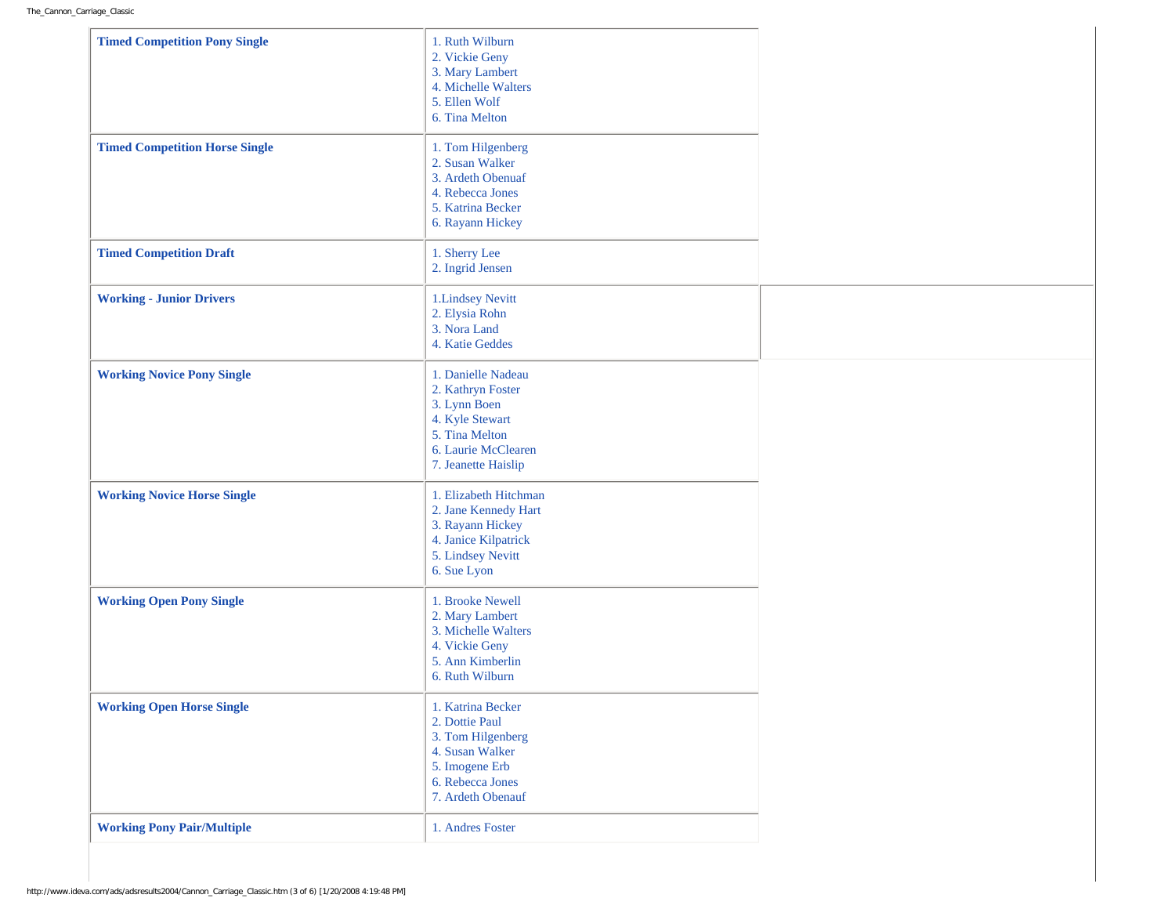| <b>Timed Competition Pony Single</b>  | 1. Ruth Wilburn<br>2. Vickie Geny<br>3. Mary Lambert<br>4. Michelle Walters<br>5. Ellen Wolf<br>6. Tina Melton                             |  |
|---------------------------------------|--------------------------------------------------------------------------------------------------------------------------------------------|--|
| <b>Timed Competition Horse Single</b> | 1. Tom Hilgenberg<br>2. Susan Walker<br>3. Ardeth Obenuaf<br>4. Rebecca Jones<br>5. Katrina Becker<br>6. Rayann Hickey                     |  |
| <b>Timed Competition Draft</b>        | 1. Sherry Lee<br>2. Ingrid Jensen                                                                                                          |  |
| <b>Working - Junior Drivers</b>       | 1. Lindsey Nevitt<br>2. Elysia Rohn<br>3. Nora Land<br>4. Katie Geddes                                                                     |  |
| <b>Working Novice Pony Single</b>     | 1. Danielle Nadeau<br>2. Kathryn Foster<br>3. Lynn Boen<br>4. Kyle Stewart<br>5. Tina Melton<br>6. Laurie McClearen<br>7. Jeanette Haislip |  |
| <b>Working Novice Horse Single</b>    | 1. Elizabeth Hitchman<br>2. Jane Kennedy Hart<br>3. Rayann Hickey<br>4. Janice Kilpatrick<br>5. Lindsey Nevitt<br>6. Sue Lyon              |  |
| <b>Working Open Pony Single</b>       | 1. Brooke Newell<br>2. Mary Lambert<br>3. Michelle Walters<br>4. Vickie Geny<br>5. Ann Kimberlin<br>6. Ruth Wilburn                        |  |
| <b>Working Open Horse Single</b>      | 1. Katrina Becker<br>2. Dottie Paul<br>3. Tom Hilgenberg<br>4. Susan Walker<br>5. Imogene Erb<br>6. Rebecca Jones<br>7. Ardeth Obenauf     |  |
| <b>Working Pony Pair/Multiple</b>     | 1. Andres Foster                                                                                                                           |  |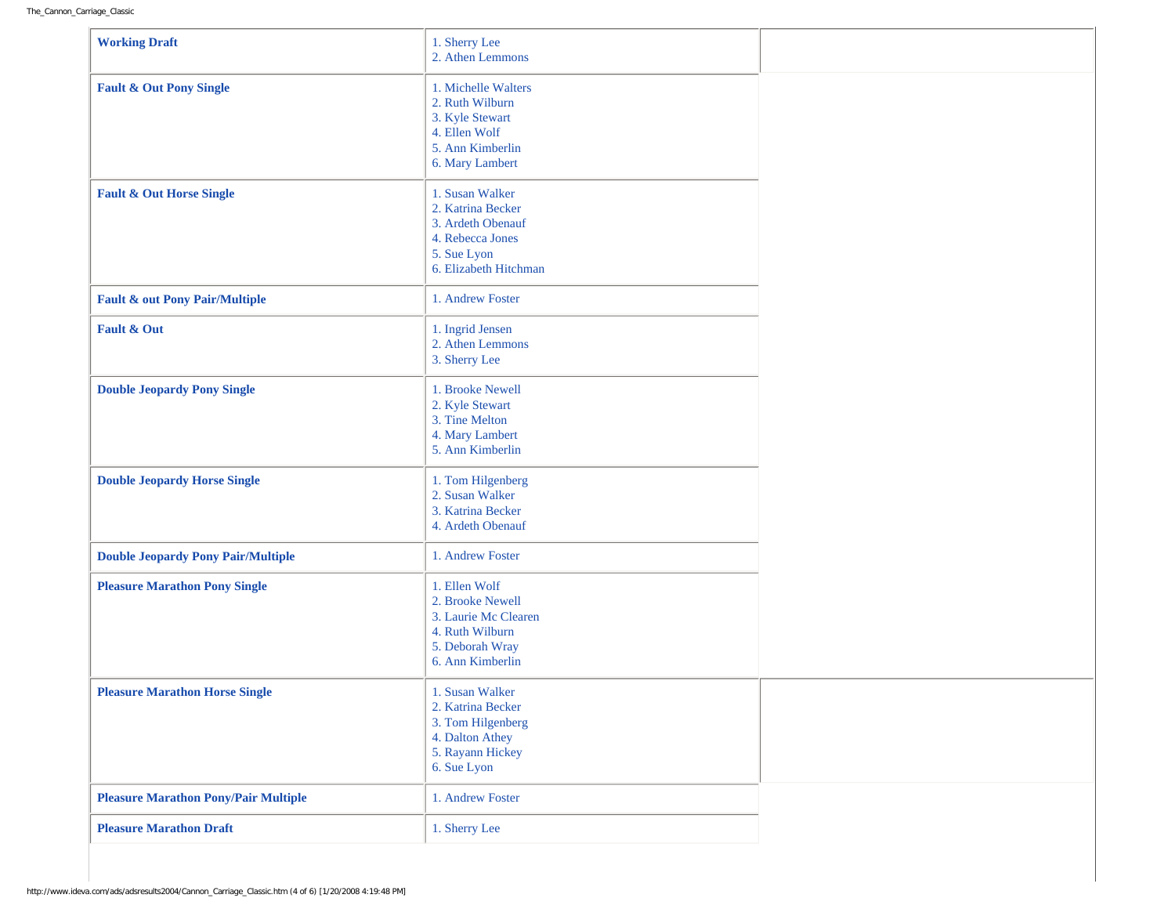| <b>Working Draft</b>                        | 1. Sherry Lee<br>2. Athen Lemmons                                                                                     |  |
|---------------------------------------------|-----------------------------------------------------------------------------------------------------------------------|--|
| <b>Fault &amp; Out Pony Single</b>          | 1. Michelle Walters<br>2. Ruth Wilburn<br>3. Kyle Stewart<br>4. Ellen Wolf<br>5. Ann Kimberlin<br>6. Mary Lambert     |  |
| <b>Fault &amp; Out Horse Single</b>         | 1. Susan Walker<br>2. Katrina Becker<br>3. Ardeth Obenauf<br>4. Rebecca Jones<br>5. Sue Lyon<br>6. Elizabeth Hitchman |  |
| <b>Fault &amp; out Pony Pair/Multiple</b>   | 1. Andrew Foster                                                                                                      |  |
| <b>Fault &amp; Out</b>                      | 1. Ingrid Jensen<br>2. Athen Lemmons<br>3. Sherry Lee                                                                 |  |
| <b>Double Jeopardy Pony Single</b>          | 1. Brooke Newell<br>2. Kyle Stewart<br>3. Tine Melton<br>4. Mary Lambert<br>5. Ann Kimberlin                          |  |
| <b>Double Jeopardy Horse Single</b>         | 1. Tom Hilgenberg<br>2. Susan Walker<br>3. Katrina Becker<br>4. Ardeth Obenauf                                        |  |
| <b>Double Jeopardy Pony Pair/Multiple</b>   | 1. Andrew Foster                                                                                                      |  |
| <b>Pleasure Marathon Pony Single</b>        | 1. Ellen Wolf<br>2. Brooke Newell<br>3. Laurie Mc Clearen<br>4. Ruth Wilburn<br>5. Deborah Wray<br>6. Ann Kimberlin   |  |
| <b>Pleasure Marathon Horse Single</b>       | 1. Susan Walker<br>2. Katrina Becker<br>3. Tom Hilgenberg<br>4. Dalton Athey<br>5. Rayann Hickey<br>6. Sue Lyon       |  |
| <b>Pleasure Marathon Pony/Pair Multiple</b> | 1. Andrew Foster                                                                                                      |  |
| <b>Pleasure Marathon Draft</b>              | 1. Sherry Lee                                                                                                         |  |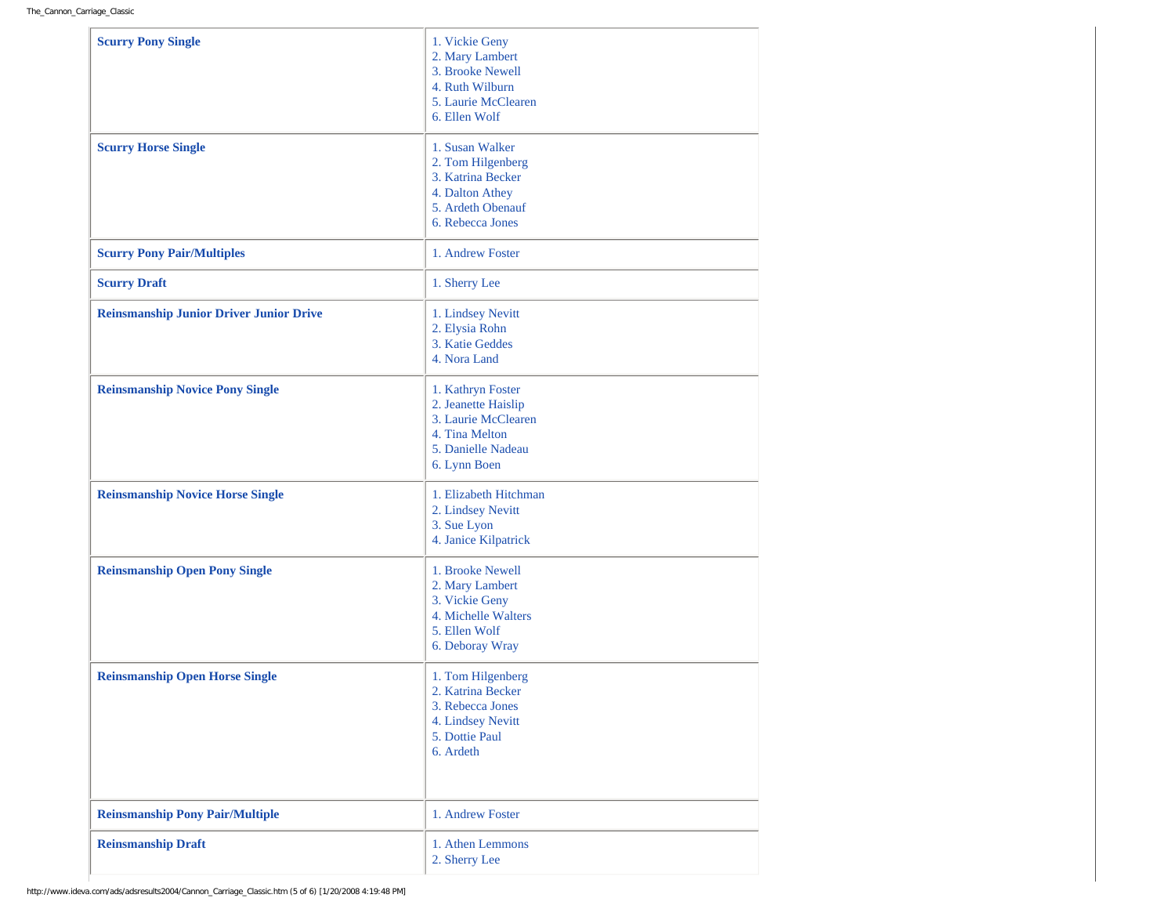| <b>Scurry Pony Single</b><br><b>Scurry Horse Single</b> | 1. Vickie Geny<br>2. Mary Lambert<br>3. Brooke Newell<br>4. Ruth Wilburn<br>5. Laurie McClearen<br>6. Ellen Wolf<br>1. Susan Walker<br>2. Tom Hilgenberg |
|---------------------------------------------------------|----------------------------------------------------------------------------------------------------------------------------------------------------------|
|                                                         | 3. Katrina Becker<br>4. Dalton Athey<br>5. Ardeth Obenauf<br>6. Rebecca Jones                                                                            |
| <b>Scurry Pony Pair/Multiples</b>                       | 1. Andrew Foster                                                                                                                                         |
| <b>Scurry Draft</b>                                     | 1. Sherry Lee                                                                                                                                            |
| <b>Reinsmanship Junior Driver Junior Drive</b>          | 1. Lindsey Nevitt<br>2. Elysia Rohn<br>3. Katie Geddes<br>4. Nora Land                                                                                   |
| <b>Reinsmanship Novice Pony Single</b>                  | 1. Kathryn Foster<br>2. Jeanette Haislip<br>3. Laurie McClearen<br>4. Tina Melton<br>5. Danielle Nadeau<br>6. Lynn Boen                                  |
| <b>Reinsmanship Novice Horse Single</b>                 | 1. Elizabeth Hitchman<br>2. Lindsey Nevitt<br>3. Sue Lyon<br>4. Janice Kilpatrick                                                                        |
| <b>Reinsmanship Open Pony Single</b>                    | 1. Brooke Newell<br>2. Mary Lambert<br>3. Vickie Geny<br>4. Michelle Walters<br>5. Ellen Wolf<br>6. Deboray Wray                                         |
| <b>Reinsmanship Open Horse Single</b>                   | 1. Tom Hilgenberg<br>2. Katrina Becker<br>3. Rebecca Jones<br>4. Lindsey Nevitt<br>5. Dottie Paul<br>6. Ardeth                                           |
| <b>Reinsmanship Pony Pair/Multiple</b>                  | 1. Andrew Foster                                                                                                                                         |
| <b>Reinsmanship Draft</b>                               | 1. Athen Lemmons<br>2. Sherry Lee                                                                                                                        |